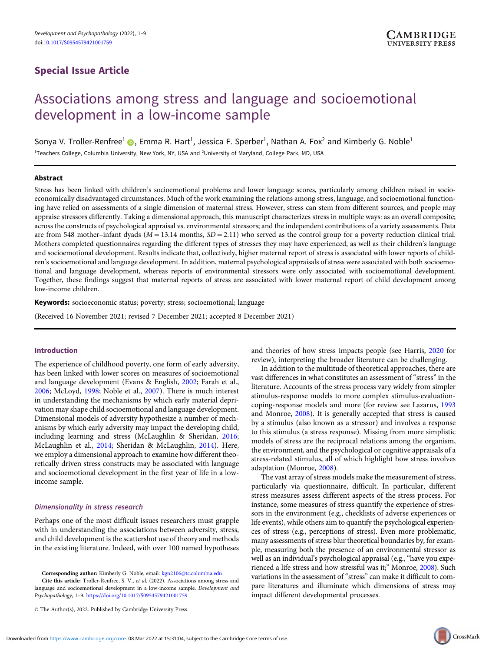# Special Issue Article

# Associations among stress and language and socioemotional development in a low-income sample

Sonya V. Troller-Renfree<sup>1</sup> (D<sub>.</sub>, Emma R. Hart<sup>1</sup>, Jessica F. Sperber<sup>1</sup>, Nathan A. Fox<sup>2</sup> and Kimberly G. Noble<sup>1</sup> <sup>1</sup>Teachers College, Columbia University, New York, NY, USA and <sup>2</sup>University of Maryland, College Park, MD, USA

# Abstract

Stress has been linked with children's socioemotional problems and lower language scores, particularly among children raised in socioeconomically disadvantaged circumstances. Much of the work examining the relations among stress, language, and socioemotional functioning have relied on assessments of a single dimension of maternal stress. However, stress can stem from different sources, and people may appraise stressors differently. Taking a dimensional approach, this manuscript characterizes stress in multiple ways: as an overall composite; across the constructs of psychological appraisal vs. environmental stressors; and the independent contributions of a variety assessments. Data are from 548 mother–infant dyads ( $M = 13.14$  months,  $SD = 2.11$ ) who served as the control group for a poverty reduction clinical trial. Mothers completed questionnaires regarding the different types of stresses they may have experienced, as well as their children's language and socioemotional development. Results indicate that, collectively, higher maternal report of stress is associated with lower reports of children's socioemotional and language development. In addition, maternal psychological appraisals of stress were associated with both socioemotional and language development, whereas reports of environmental stressors were only associated with socioemotional development. Together, these findings suggest that maternal reports of stress are associated with lower maternal report of child development among low-income children.

Keywords: socioeconomic status; poverty; stress; socioemotional; language

(Received 16 November 2021; revised 7 December 2021; accepted 8 December 2021)

# Introduction

The experience of childhood poverty, one form of early adversity, has been linked with lower scores on measures of socioemotional and language development (Evans & English, 2002; Farah et al., 2006; McLoyd, 1998; Noble et al., 2007). There is much interest in understanding the mechanisms by which early material deprivation may shape child socioemotional and language development. Dimensional models of adversity hypothesize a number of mechanisms by which early adversity may impact the developing child, including learning and stress (McLaughlin & Sheridan, 2016; McLaughlin et al., 2014; Sheridan & McLaughlin, 2014). Here, we employ a dimensional approach to examine how different theoretically driven stress constructs may be associated with language and socioemotional development in the first year of life in a lowincome sample.

#### Dimensionality in stress research

Perhaps one of the most difficult issues researchers must grapple with in understanding the associations between adversity, stress, and child development is the scattershot use of theory and methods in the existing literature. Indeed, with over 100 named hypotheses

Corresponding author: Kimberly G. Noble, email: kgn2106@tc.columbia.edu

Cite this article: Troller-Renfree, S. V., et al. (2022). Associations among stress and language and socioemotional development in a low-income sample. Development and Psychopathology, 1–9, https://doi.org/10.1017/S0954579421001759

© The Author(s), 2022. Published by Cambridge University Press.

and theories of how stress impacts people (see Harris, 2020 for review), interpreting the broader literature can be challenging.

In addition to the multitude of theoretical approaches, there are vast differences in what constitutes an assessment of "stress" in the literature. Accounts of the stress process vary widely from simpler stimulus-response models to more complex stimulus-evaluationcoping-response models and more (for review see Lazarus, 1993 and Monroe, 2008). It is generally accepted that stress is caused by a stimulus (also known as a stressor) and involves a response to this stimulus (a stress response). Missing from more simplistic models of stress are the reciprocal relations among the organism, the environment, and the psychological or cognitive appraisals of a stress-related stimulus, all of which highlight how stress involves adaptation (Monroe, 2008).

The vast array of stress models make the measurement of stress, particularly via questionnaire, difficult. In particular, different stress measures assess different aspects of the stress process. For instance, some measures of stress quantify the experience of stressors in the environment (e.g., checklists of adverse experiences or life events), while others aim to quantify the psychological experiences of stress (e.g., perceptions of stress). Even more problematic, many assessments of stress blur theoretical boundaries by, for example, measuring both the presence of an environmental stressor as well as an individual's psychological appraisal (e.g., "have you experienced a life stress and how stressful was it;" Monroe, 2008). Such variations in the assessment of "stress" can make it difficult to compare literatures and illuminate which dimensions of stress may impact different developmental processes.

CrossMark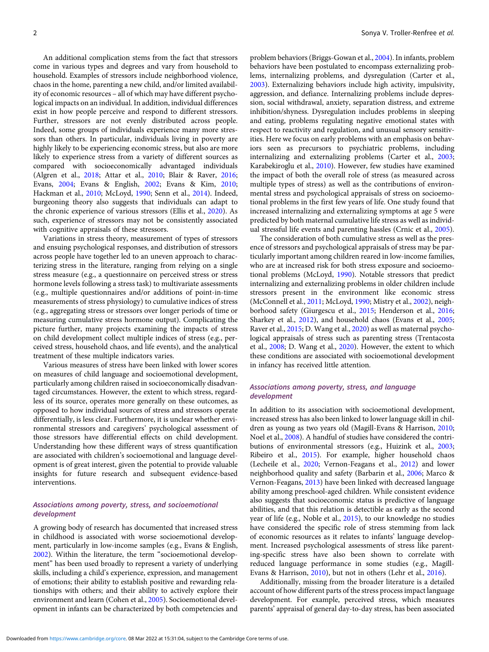An additional complication stems from the fact that stressors come in various types and degrees and vary from household to household. Examples of stressors include neighborhood violence, chaos in the home, parenting a new child, and/or limited availability of economic resources – all of which may have different psychological impacts on an individual. In addition, individual differences exist in how people perceive and respond to different stressors. Further, stressors are not evenly distributed across people. Indeed, some groups of individuals experience many more stressors than others. In particular, individuals living in poverty are highly likely to be experiencing economic stress, but also are more likely to experience stress from a variety of different sources as compared with socioeconomically advantaged individuals (Algren et al., 2018; Attar et al., 2010; Blair & Raver, 2016; Evans, 2004; Evans & English, 2002; Evans & Kim, 2010; Hackman et al., 2010; McLoyd, 1990; Senn et al., 2014). Indeed, burgeoning theory also suggests that individuals can adapt to the chronic experience of various stressors (Ellis et al., 2020). As such, experience of stressors may not be consistently associated with cognitive appraisals of these stressors.

Variations in stress theory, measurement of types of stressors and ensuing psychological responses, and distribution of stressors across people have together led to an uneven approach to characterizing stress in the literature, ranging from relying on a single stress measure (e.g., a questionnaire on perceived stress or stress hormone levels following a stress task) to multivariate assessments (e.g., multiple questionnaires and/or additions of point-in-time measurements of stress physiology) to cumulative indices of stress (e.g., aggregating stress or stressors over longer periods of time or measuring cumulative stress hormone output). Complicating the picture further, many projects examining the impacts of stress on child development collect multiple indices of stress (e.g., perceived stress, household chaos, and life events), and the analytical treatment of these multiple indicators varies.

Various measures of stress have been linked with lower scores on measures of child language and socioemotional development, particularly among children raised in socioeconomically disadvantaged circumstances. However, the extent to which stress, regardless of its source, operates more generally on these outcomes, as opposed to how individual sources of stress and stressors operate differentially, is less clear. Furthermore, it is unclear whether environmental stressors and caregivers' psychological assessment of those stressors have differential effects on child development. Understanding how these different ways of stress quantification are associated with children's socioemotional and language development is of great interest, given the potential to provide valuable insights for future research and subsequent evidence-based interventions.

# Associations among poverty, stress, and socioemotional development

A growing body of research has documented that increased stress in childhood is associated with worse socioemotional development, particularly in low-income samples (e.g., Evans & English, 2002). Within the literature, the term "socioemotional development" has been used broadly to represent a variety of underlying skills, including a child's experience, expression, and management of emotions; their ability to establish positive and rewarding relationships with others; and their ability to actively explore their environment and learn (Cohen et al., 2005). Socioemotional development in infants can be characterized by both competencies and

problem behaviors (Briggs-Gowan et al., 2004). In infants, problem behaviors have been postulated to encompass externalizing problems, internalizing problems, and dysregulation (Carter et al., 2003). Externalizing behaviors include high activity, impulsivity, aggression, and defiance. Internalizing problems include depression, social withdrawal, anxiety, separation distress, and extreme inhibition/shyness. Dysregulation includes problems in sleeping and eating, problems regulating negative emotional states with respect to reactivity and regulation, and unusual sensory sensitivities. Here we focus on early problems with an emphasis on behaviors seen as precursors to psychiatric problems, including internalizing and externalizing problems (Carter et al., 2003; Karabekiroglu et al., 2010). However, few studies have examined the impact of both the overall role of stress (as measured across multiple types of stress) as well as the contributions of environmental stress and psychological appraisals of stress on socioemotional problems in the first few years of life. One study found that increased internalizing and externalizing symptoms at age 5 were predicted by both maternal cumulative life stress as well as individual stressful life events and parenting hassles (Crnic et al., 2005).

The consideration of both cumulative stress as well as the presence of stressors and psychological appraisals of stress may be particularly important among children reared in low-income families, who are at increased risk for both stress exposure and socioemotional problems (McLoyd, 1990). Notable stressors that predict internalizing and externalizing problems in older children include stressors present in the environment like economic stress (McConnell et al., 2011; McLoyd, 1990; Mistry et al., 2002), neighborhood safety (Giurgescu et al., 2015; Henderson et al., 2016; Sharkey et al., 2012), and household chaos (Evans et al., 2005; Raver et al., 2015; D. Wang et al., 2020) as well as maternal psychological appraisals of stress such as parenting stress (Trentacosta et al., 2008; D. Wang et al., 2020). However, the extent to which these conditions are associated with socioemotional development in infancy has received little attention.

#### Associations among poverty, stress, and language development

In addition to its association with socioemotional development, increased stress has also been linked to lower language skill in children as young as two years old (Magill-Evans & Harrison, 2010; Noel et al., 2008). A handful of studies have considered the contributions of environmental stressors (e.g., Huizink et al., 2003; Ribeiro et al., 2015). For example, higher household chaos (Lecheile et al., 2020; Vernon-Feagans et al., 2012) and lower neighborhood quality and safety (Barbarin et al., 2006; Marco & Vernon-Feagans, 2013) have been linked with decreased language ability among preschool-aged children. While consistent evidence also suggests that socioeconomic status is predictive of language abilities, and that this relation is detectible as early as the second year of life (e.g., Noble et al., 2015), to our knowledge no studies have considered the specific role of stress stemming from lack of economic resources as it relates to infants' language development. Increased psychological assessments of stress like parenting-specific stress have also been shown to correlate with reduced language performance in some studies (e.g., Magill-Evans & Harrison, 2010), but not in others (Lehr et al., 2016).

Additionally, missing from the broader literature is a detailed account of how different parts of the stress process impact language development. For example, perceived stress, which measures parents' appraisal of general day-to-day stress, has been associated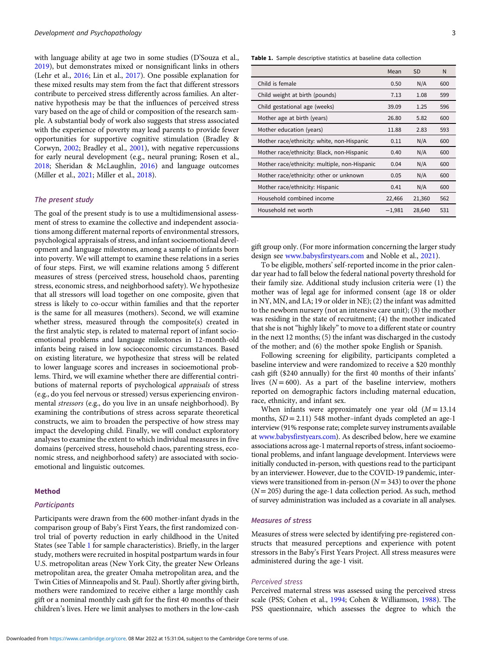with language ability at age two in some studies (D'Souza et al., 2019), but demonstrates mixed or nonsignificant links in others (Lehr et al., 2016; Lin et al., 2017). One possible explanation for these mixed results may stem from the fact that different stressors contribute to perceived stress differently across families. An alternative hypothesis may be that the influences of perceived stress vary based on the age of child or composition of the research sample. A substantial body of work also suggests that stress associated with the experience of poverty may lead parents to provide fewer opportunities for supportive cognitive stimulation (Bradley & Corwyn, 2002; Bradley et al., 2001), with negative repercussions for early neural development (e.g., neural pruning; Rosen et al., 2018; Sheridan & McLaughlin, 2016) and language outcomes (Miller et al., 2021; Miller et al., 2018).

#### The present study

The goal of the present study is to use a multidimensional assessment of stress to examine the collective and independent associations among different maternal reports of environmental stressors, psychological appraisals of stress, and infant socioemotional development and language milestones, among a sample of infants born into poverty. We will attempt to examine these relations in a series of four steps. First, we will examine relations among 5 different measures of stress (perceived stress, household chaos, parenting stress, economic stress, and neighborhood safety). We hypothesize that all stressors will load together on one composite, given that stress is likely to co-occur within families and that the reporter is the same for all measures (mothers). Second, we will examine whether stress, measured through the composite(s) created in the first analytic step, is related to maternal report of infant socioemotional problems and language milestones in 12-month-old infants being raised in low socioeconomic circumstances. Based on existing literature, we hypothesize that stress will be related to lower language scores and increases in socioemotional problems. Third, we will examine whether there are differential contributions of maternal reports of psychological appraisals of stress (e.g., do you feel nervous or stressed) versus experiencing environmental stressors (e.g., do you live in an unsafe neighborhood). By examining the contributions of stress across separate theoretical constructs, we aim to broaden the perspective of how stress may impact the developing child. Finally, we will conduct exploratory analyses to examine the extent to which individual measures in five domains (perceived stress, household chaos, parenting stress, economic stress, and neighborhood safety) are associated with socioemotional and linguistic outcomes.

# Method

# **Participants**

Participants were drawn from the 600 mother-infant dyads in the comparison group of Baby's First Years, the first randomized control trial of poverty reduction in early childhood in the United States (see Table 1 for sample characteristics). Briefly, in the larger study, mothers were recruited in hospital postpartum wards in four U.S. metropolitan areas (New York City, the greater New Orleans metropolitan area, the greater Omaha metropolitan area, and the Twin Cities of Minneapolis and St. Paul). Shortly after giving birth, mothers were randomized to receive either a large monthly cash gift or a nominal monthly cash gift for the first 40 months of their children's lives. Here we limit analyses to mothers in the low-cash

Table 1. Sample descriptive statistics at baseline data collection

|                                               | Mean     | <b>SD</b> | N   |
|-----------------------------------------------|----------|-----------|-----|
| Child is female                               | 0.50     | N/A       | 600 |
| Child weight at birth (pounds)                | 7.13     | 1.08      | 599 |
| Child gestational age (weeks)                 | 39.09    | 1.25      | 596 |
| Mother age at birth (years)                   | 26.80    | 5.82      | 600 |
| Mother education (years)                      | 11.88    | 2.83      | 593 |
| Mother race/ethnicity: white, non-Hispanic    | 0.11     | N/A       | 600 |
| Mother race/ethnicity: Black, non-Hispanic    | 0.40     | N/A       | 600 |
| Mother race/ethnicity: multiple, non-Hispanic | 0.04     | N/A       | 600 |
| Mother race/ethnicity: other or unknown       | 0.05     | N/A       | 600 |
| Mother race/ethnicity: Hispanic               | 0.41     | N/A       | 600 |
| Household combined income                     | 22,466   | 21,360    | 562 |
| Household net worth                           | $-1,981$ | 28,640    | 531 |

gift group only. (For more information concerning the larger study design see www.babysfirstyears.com and Noble et al., 2021).

To be eligible, mothers' self-reported income in the prior calendar year had to fall below the federal national poverty threshold for their family size. Additional study inclusion criteria were (1) the mother was of legal age for informed consent (age 18 or older in NY, MN, and LA; 19 or older in NE); (2) the infant was admitted to the newborn nursery (not an intensive care unit); (3) the mother was residing in the state of recruitment; (4) the mother indicated that she is not"highly likely"to move to a different state or country in the next 12 months; (5) the infant was discharged in the custody of the mother; and (6) the mother spoke English or Spanish.

Following screening for eligibility, participants completed a baseline interview and were randomized to receive a \$20 monthly cash gift (\$240 annually) for the first 40 months of their infants' lives  $(N = 600)$ . As a part of the baseline interview, mothers reported on demographic factors including maternal education, race, ethnicity, and infant sex.

When infants were approximately one year old  $(M = 13.14)$ months,  $SD = 2.11$ ) 548 mother-infant dyads completed an age-1 interview (91% response rate; complete survey instruments available at www.babysfirstyears.com). As described below, here we examine associations across age-1 maternal reports of stress, infant socioemotional problems, and infant language development. Interviews were initially conducted in-person, with questions read to the participant by an interviewer. However, due to the COVID-19 pandemic, interviews were transitioned from in-person  $(N = 343)$  to over the phone  $(N = 205)$  during the age-1 data collection period. As such, method of survey administration was included as a covariate in all analyses.

#### Measures of stress

Measures of stress were selected by identifying pre-registered constructs that measured perceptions and experience with potent stressors in the Baby's First Years Project. All stress measures were administered during the age-1 visit.

#### Perceived stress

Perceived maternal stress was assessed using the perceived stress scale (PSS; Cohen et al., 1994; Cohen & Williamson, 1988). The PSS questionnaire, which assesses the degree to which the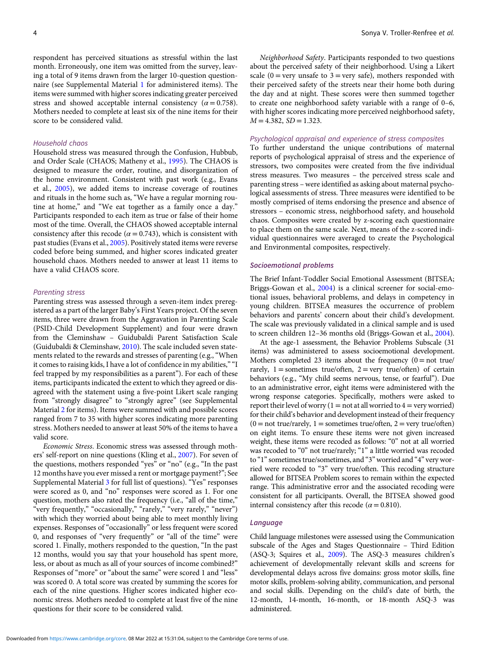respondent has perceived situations as stressful within the last month. Erroneously, one item was omitted from the survey, leaving a total of 9 items drawn from the larger 10-question questionnaire (see Supplemental Material 1 for administered items). The items were summed with higher scores indicating greater perceived stress and showed acceptable internal consistency ( $\alpha$  = 0.758). Mothers needed to complete at least six of the nine items for their score to be considered valid.

#### Household chaos

Household stress was measured through the Confusion, Hubbub, and Order Scale (CHAOS; Matheny et al., 1995). The CHAOS is designed to measure the order, routine, and disorganization of the home environment. Consistent with past work (e.g., Evans et al., 2005), we added items to increase coverage of routines and rituals in the home such as, "We have a regular morning routine at home," and "We eat together as a family once a day." Participants responded to each item as true or false of their home most of the time. Overall, the CHAOS showed acceptable internal consistency after this recode ( $\alpha$  = 0.743), which is consistent with past studies (Evans et al., 2005). Positively stated items were reverse coded before being summed, and higher scores indicated greater household chaos. Mothers needed to answer at least 11 items to have a valid CHAOS score.

#### Parenting stress

Parenting stress was assessed through a seven-item index preregistered as a part of the larger Baby's First Years project. Of the seven items, three were drawn from the Aggravation in Parenting Scale (PSID-Child Development Supplement) and four were drawn from the Cleminshaw – Guidubaldi Parent Satisfaction Scale (Guidubaldi & Cleminshaw, 2010). The scale included seven statements related to the rewards and stresses of parenting (e.g., "When it comes to raising kids, I have a lot of confidence in my abilities," "I feel trapped by my responsibilities as a parent"). For each of these items, participants indicated the extent to which they agreed or disagreed with the statement using a five-point Likert scale ranging from "strongly disagree" to "strongly agree" (see Supplemental Material 2 for items). Items were summed with and possible scores ranged from 7 to 35 with higher scores indicating more parenting stress. Mothers needed to answer at least 50% of the items to have a valid score.

Economic Stress. Economic stress was assessed through mothers' self-report on nine questions (Kling et al., 2007). For seven of the questions, mothers responded "yes" or "no" (e.g., "In the past 12 months have you ever missed a rent or mortgage payment?"; See Supplemental Material 3 for full list of questions). "Yes" responses were scored as 0, and "no" responses were scored as 1. For one question, mothers also rated the frequency (i.e., "all of the time," "very frequently," "occasionally," "rarely," "very rarely," "never") with which they worried about being able to meet monthly living expenses. Responses of "occasionally" or less frequent were scored 0, and responses of "very frequently" or "all of the time" were scored 1. Finally, mothers responded to the question, "In the past 12 months, would you say that your household has spent more, less, or about as much as all of your sources of income combined?" Responses of "more" or "about the same" were scored 1 and "less" was scored 0. A total score was created by summing the scores for each of the nine questions. Higher scores indicated higher economic stress. Mothers needed to complete at least five of the nine questions for their score to be considered valid.

Neighborhood Safety. Participants responded to two questions about the perceived safety of their neighborhood. Using a Likert scale  $(0 = \text{very unsafe to } 3 = \text{very safe})$ , mothers responded with their perceived safety of the streets near their home both during the day and at night. These scores were then summed together to create one neighborhood safety variable with a range of 0–6, with higher scores indicating more perceived neighborhood safety,  $M = 4.382$ ,  $SD = 1.323$ .

#### Psychological appraisal and experience of stress composites

To further understand the unique contributions of maternal reports of psychological appraisal of stress and the experience of stressors, two composites were created from the five individual stress measures. Two measures – the perceived stress scale and parenting stress – were identified as asking about maternal psychological assessments of stress. Three measures were identified to be mostly comprised of items endorsing the presence and absence of stressors – economic stress, neighborhood safety, and household chaos. Composites were created by z-scoring each questionnaire to place them on the same scale. Next, means of the z-scored individual questionnaires were averaged to create the Psychological and Environmental composites, respectively.

#### Socioemotional problems

The Brief Infant-Toddler Social Emotional Assessment (BITSEA; Briggs-Gowan et al., 2004) is a clinical screener for social-emotional issues, behavioral problems, and delays in competency in young children. BITSEA measures the occurrence of problem behaviors and parents' concern about their child's development. The scale was previously validated in a clinical sample and is used to screen children 12–36 months old (Briggs-Gowan et al., 2004).

At the age-1 assessment, the Behavior Problems Subscale (31 items) was administered to assess socioemotional development. Mothers completed 23 items about the frequency  $(0 = not true)$ rarely,  $1 =$  sometimes true/often,  $2 =$  very true/often) of certain behaviors (e.g., "My child seems nervous, tense, or fearful"). Due to an administrative error, eight items were administered with the wrong response categories. Specifically, mothers were asked to report their level of worry  $(1 = not at all worried to 4 = very worried)$ for their child's behavior and development instead of their frequency  $(0 = not true / rarely, 1 = sometimes true / often, 2 = very true / often)$ on eight items. To ensure these items were not given increased weight, these items were recoded as follows: "0" not at all worried was recoded to "0" not true/rarely; "1" a little worried was recoded to "1" sometimes true/sometimes, and "3" worried and "4" very worried were recoded to "3" very true/often. This recoding structure allowed for BITSEA Problem scores to remain within the expected range. This administrative error and the associated recoding were consistent for all participants. Overall, the BITSEA showed good internal consistency after this recode ( $\alpha$  = 0.810).

# Language

Child language milestones were assessed using the Communication subscale of the Ages and Stages Questionnaire – Third Edition (ASQ-3; Squires et al., 2009). The ASQ-3 measures children's achievement of developmentally relevant skills and screens for developmental delays across five domains: gross motor skills, fine motor skills, problem-solving ability, communication, and personal and social skills. Depending on the child's date of birth, the 12-month, 14-month, 16-month, or 18-month ASQ-3 was administered.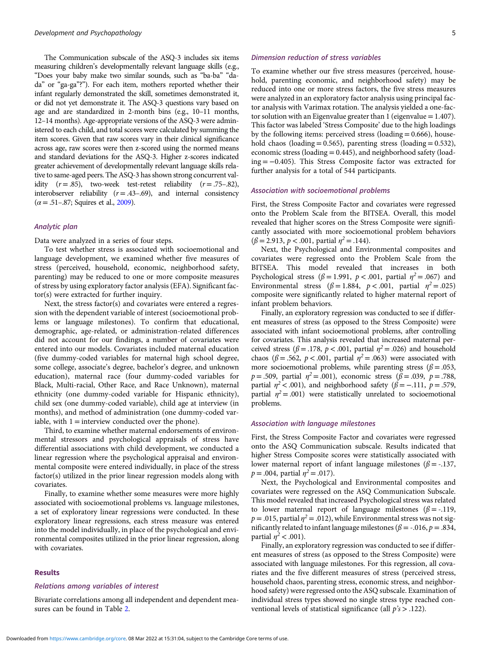The Communication subscale of the ASQ-3 includes six items measuring children's developmentally relevant language skills (e.g., "Does your baby make two similar sounds, such as "ba-ba" "dada" or "ga-ga"?"). For each item, mothers reported whether their infant regularly demonstrated the skill, sometimes demonstrated it, or did not yet demonstrate it. The ASQ-3 questions vary based on age and are standardized in 2-month bins (e.g., 10–11 months, 12–14 months). Age-appropriate versions of the ASQ-3 were administered to each child, and total scores were calculated by summing the item scores. Given that raw scores vary in their clinical significance across age, raw scores were then z-scored using the normed means and standard deviations for the ASQ-3. Higher z-scores indicated greater achievement of developmentally relevant language skills relative to same-aged peers. The ASQ-3 has shown strong concurrent validity  $(r=.85)$ , two-week test-retest reliability  $(r=.75-.82)$ , interobserver reliability  $(r = .43-.69)$ , and internal consistency  $(\alpha = .51-.87;$  Squires et al., 2009).

#### Analytic plan

Data were analyzed in a series of four steps.

To test whether stress is associated with socioemotional and language development, we examined whether five measures of stress (perceived, household, economic, neighborhood safety, parenting) may be reduced to one or more composite measures of stress by using exploratory factor analysis (EFA). Significant factor(s) were extracted for further inquiry.

Next, the stress factor(s) and covariates were entered a regression with the dependent variable of interest (socioemotional problems or language milestones). To confirm that educational, demographic, age-related, or administration-related differences did not account for our findings, a number of covariates were entered into our models. Covariates included maternal education (five dummy-coded variables for maternal high school degree, some college, associate's degree, bachelor's degree, and unknown education), maternal race (four dummy-coded variables for Black, Multi-racial, Other Race, and Race Unknown), maternal ethnicity (one dummy-coded variable for Hispanic ethnicity), child sex (one dummy-coded variable), child age at interview (in months), and method of administration (one dummy-coded variable, with  $1 =$  interview conducted over the phone).

Third, to examine whether maternal endorsements of environmental stressors and psychological appraisals of stress have differential associations with child development, we conducted a linear regression where the psychological appraisal and environmental composite were entered individually, in place of the stress factor(s) utilized in the prior linear regression models along with covariates.

Finally, to examine whether some measures were more highly associated with socioemotional problems vs. language milestones, a set of exploratory linear regressions were conducted. In these exploratory linear regressions, each stress measure was entered into the model individually, in place of the psychological and environmental composites utilized in the prior linear regression, along with covariates.

# Results

#### Relations among variables of interest

Bivariate correlations among all independent and dependent measures can be found in Table 2.

# Dimension reduction of stress variables

To examine whether our five stress measures (perceived, household, parenting economic, and neighborhood safety) may be reduced into one or more stress factors, the five stress measures were analyzed in an exploratory factor analysis using principal factor analysis with Varimax rotation. The analysis yielded a one-factor solution with an Eigenvalue greater than 1 (eigenvalue  $= 1.407$ ). This factor was labeled 'Stress Composite' due to the high loadings by the following items: perceived stress (loading  $= 0.666$ ), household chaos (loading  $= 0.565$ ), parenting stress (loading  $= 0.532$ ), economic stress (loading = 0.445), and neighborhood safety (loading = −0.405). This Stress Composite factor was extracted for further analysis for a total of 544 participants.

#### Association with socioemotional problems

First, the Stress Composite Factor and covariates were regressed onto the Problem Scale from the BITSEA. Overall, this model revealed that higher scores on the Stress Composite were significantly associated with more socioemotional problem behaviors  $(\beta = 2.913, p < .001,$  partial  $\eta^2 = .144$ ).

Next, the Psychological and Environmental composites and covariates were regressed onto the Problem Scale from the BITSEA. This model revealed that increases in both Psychological stress ( $\beta$  = 1.991,  $p$  < .001, partial  $\eta$ <sup>2</sup> = .067) and Environmental stress ( $\beta = 1.884$ ,  $p < .001$ , partial  $\eta^2 = .025$ ) composite were significantly related to higher maternal report of infant problem behaviors.

Finally, an exploratory regression was conducted to see if different measures of stress (as opposed to the Stress Composite) were associated with infant socioemotional problems, after controlling for covariates. This analysis revealed that increased maternal perceived stress ( $\beta$  = .178,  $p$  < .001, partial  $\eta$ <sup>2</sup> = .026) and household chaos ( $\beta = .562$ ,  $p < .001$ , partial  $\eta^2 = .063$ ) were associated with more socioemotional problems, while parenting stress ( $\beta$  = .053,  $p = .509$ , partial  $\eta^2 = .001$ ), economic stress ( $\beta = .039$ ,  $p = .788$ , partial  $\eta^2$  < .001), and neighborhood safety ( $\beta$  = -.111,  $p$  = .579, partial  $\eta^2$  = .001) were statistically unrelated to socioemotional problems.

#### Association with language milestones

First, the Stress Composite Factor and covariates were regressed onto the ASQ Communication subscale. Results indicated that higher Stress Composite scores were statistically associated with lower maternal report of infant language milestones ( $\beta$  = -.137,  $p = .004$ , partial  $\eta^2 = .017$ ).

Next, the Psychological and Environmental composites and covariates were regressed on the ASQ Communication Subscale. This model revealed that increased Psychological stress was related to lower maternal report of language milestones ( $\beta$  = -.119,  $p = .015$ , partial  $\eta^2 = .012$ ), while Environmental stress was not significantly related to infant language milestones ( $\beta = -0.016$ ,  $p = 0.834$ , partial  $\eta^2$  < .001).

Finally, an exploratory regression was conducted to see if different measures of stress (as opposed to the Stress Composite) were associated with language milestones. For this regression, all covariates and the five different measures of stress (perceived stress, household chaos, parenting stress, economic stress, and neighborhood safety) were regressed onto the ASQ subscale. Examination of individual stress types showed no single stress type reached conventional levels of statistical significance (all  $p's > .122$ ).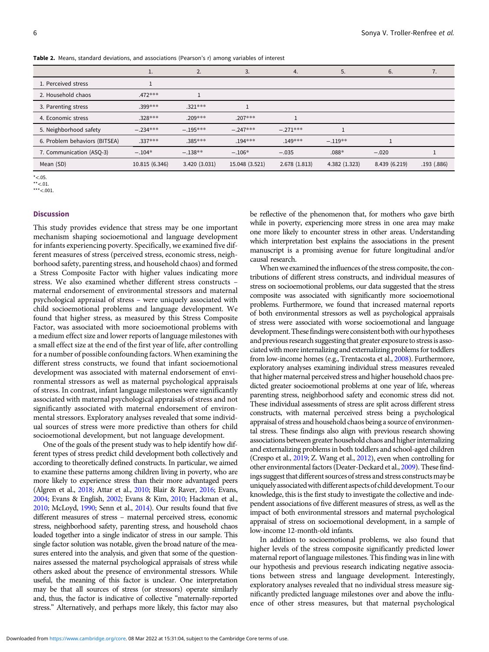|                               | ī.             | 2.            | 3.             | 4.           | 5.            | 6.            | 7.         |
|-------------------------------|----------------|---------------|----------------|--------------|---------------|---------------|------------|
| 1. Perceived stress           |                |               |                |              |               |               |            |
| 2. Household chaos            | $.472***$      |               |                |              |               |               |            |
| 3. Parenting stress           | $.399***$      | $.321***$     |                |              |               |               |            |
| 4. Economic stress            | $.328***$      | $.209***$     | $.207***$      |              |               |               |            |
| 5. Neighborhood safety        | $-.234***$     | $-.195***$    | $-.247***$     | $-.271***$   |               |               |            |
| 6. Problem behaviors (BITSEA) | .337***        | $.385***$     | $.194***$      | $.149***$    | $-.119**$     |               |            |
| 7. Communication (ASQ-3)      | $-.104*$       | $-.138**$     | $-.106*$       | $-.035$      | $.088*$       | $-.020$       |            |
| Mean (SD)                     | 10.815 (6.346) | 3.420 (3.031) | 15.048 (3.521) | 2.678(1.813) | 4.382 (1.323) | 8.439 (6.219) | .193(.886) |

Table 2. Means, standard deviations, and associations (Pearson's r) among variables of interest

 $*<.05$ 

 $***<.01$ .

\*\*\*<.001.

### Discussion

This study provides evidence that stress may be one important mechanism shaping socioemotional and language development for infants experiencing poverty. Specifically, we examined five different measures of stress (perceived stress, economic stress, neighborhood safety, parenting stress, and household chaos) and formed a Stress Composite Factor with higher values indicating more stress. We also examined whether different stress constructs – maternal endorsement of environmental stressors and maternal psychological appraisal of stress – were uniquely associated with child socioemotional problems and language development. We found that higher stress, as measured by this Stress Composite Factor, was associated with more socioemotional problems with a medium effect size and lower reports of language milestones with a small effect size at the end of the first year of life, after controlling for a number of possible confounding factors. When examining the different stress constructs, we found that infant socioemotional development was associated with maternal endorsement of environmental stressors as well as maternal psychological appraisals of stress. In contrast, infant language milestones were significantly associated with maternal psychological appraisals of stress and not significantly associated with maternal endorsement of environmental stressors. Exploratory analyses revealed that some individual sources of stress were more predictive than others for child socioemotional development, but not language development.

One of the goals of the present study was to help identify how different types of stress predict child development both collectively and according to theoretically defined constructs. In particular, we aimed to examine these patterns among children living in poverty, who are more likely to experience stress than their more advantaged peers (Algren et al., 2018; Attar et al., 2010; Blair & Raver, 2016; Evans, 2004; Evans & English, 2002; Evans & Kim, 2010; Hackman et al., 2010; McLoyd, 1990; Senn et al., 2014). Our results found that five different measures of stress – maternal perceived stress, economic stress, neighborhood safety, parenting stress, and household chaos loaded together into a single indicator of stress in our sample. This single factor solution was notable, given the broad nature of the measures entered into the analysis, and given that some of the questionnaires assessed the maternal psychological appraisals of stress while others asked about the presence of environmental stressors. While useful, the meaning of this factor is unclear. One interpretation may be that all sources of stress (or stressors) operate similarly and, thus, the factor is indicative of collective "maternally-reported stress." Alternatively, and perhaps more likely, this factor may also

be reflective of the phenomenon that, for mothers who gave birth while in poverty, experiencing more stress in one area may make one more likely to encounter stress in other areas. Understanding which interpretation best explains the associations in the present manuscript is a promising avenue for future longitudinal and/or causal research.

When we examined the influences of the stress composite, the contributions of different stress constructs, and individual measures of stress on socioemotional problems, our data suggested that the stress composite was associated with significantly more socioemotional problems. Furthermore, we found that increased maternal reports of both environmental stressors as well as psychological appraisals of stress were associated with worse socioemotional and language development. These findings were consistent both with our hypotheses and previous research suggesting that greater exposure to stress is associated with more internalizing and externalizing problems for toddlers from low-income homes (e.g., Trentacosta et al., 2008). Furthermore, exploratory analyses examining individual stress measures revealed that higher maternal perceived stress and higher household chaos predicted greater socioemotional problems at one year of life, whereas parenting stress, neighborhood safety and economic stress did not. These individual assessments of stress are split across different stress constructs, with maternal perceived stress being a psychological appraisal of stress and household chaos being a source of environmental stress. These findings also align with previous research showing associations between greater household chaos and higher internalizing and externalizing problems in both toddlers and school-aged children (Crespo et al., 2019; Z. Wang et al., 2012), even when controlling for other environmental factors (Deater-Deckard et al., 2009). These findings suggest that different sources of stress and stress constructs may be uniquely associatedwith different aspects of child development.To our knowledge, this is the first study to investigate the collective and independent associations of five different measures of stress, as well as the impact of both environmental stressors and maternal psychological appraisal of stress on socioemotional development, in a sample of low-income 12-month-old infants.

In addition to socioemotional problems, we also found that higher levels of the stress composite significantly predicted lower maternal report of language milestones. This finding was in line with our hypothesis and previous research indicating negative associations between stress and language development. Interestingly, exploratory analyses revealed that no individual stress measure significantly predicted language milestones over and above the influence of other stress measures, but that maternal psychological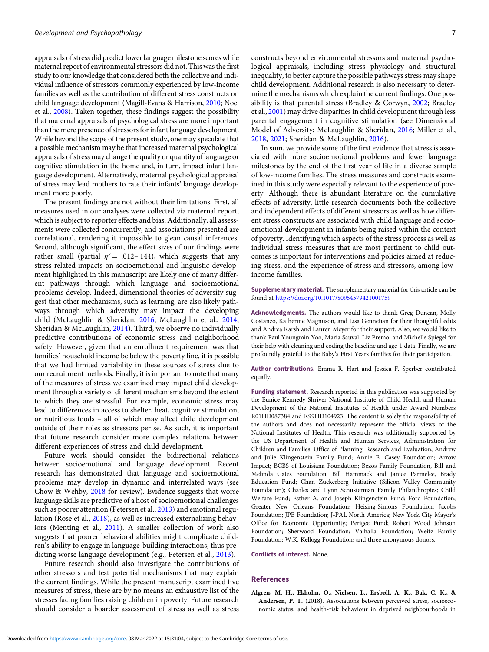appraisals of stress did predict lower language milestone scores while maternal report of environmental stressors did not. This was the first study to our knowledge that considered both the collective and individual influence of stressors commonly experienced by low-income families as well as the contribution of different stress constructs on child language development (Magill-Evans & Harrison, 2010; Noel et al., 2008). Taken together, these findings suggest the possibility that maternal appraisals of psychological stress are more important than the mere presence of stressors for infant language development. While beyond the scope of the present study, one may speculate that a possible mechanism may be that increased maternal psychological appraisals of stress may change the quality or quantity of language or cognitive stimulation in the home and, in turn, impact infant language development. Alternatively, maternal psychological appraisal of stress may lead mothers to rate their infants' language development more poorly.

The present findings are not without their limitations. First, all measures used in our analyses were collected via maternal report, which is subject to reporter effects and bias. Additionally, all assessments were collected concurrently, and associations presented are correlational, rendering it impossible to glean causal inferences. Second, although significant, the effect sizes of our findings were rather small (partial  $\eta^2$  = .012-.144), which suggests that any stress-related impacts on socioemotional and linguistic development highlighted in this manuscript are likely one of many different pathways through which language and socioemotional problems develop. Indeed, dimensional theories of adversity suggest that other mechanisms, such as learning, are also likely pathways through which adversity may impact the developing child (McLaughlin & Sheridan, 2016; McLaughlin et al., 2014; Sheridan & McLaughlin, 2014). Third, we observe no individually predictive contributions of economic stress and neighborhood safety. However, given that an enrollment requirement was that families' household income be below the poverty line, it is possible that we had limited variability in these sources of stress due to our recruitment methods. Finally, it is important to note that many of the measures of stress we examined may impact child development through a variety of different mechanisms beyond the extent to which they are stressful. For example, economic stress may lead to differences in access to shelter, heat, cognitive stimulation, or nutritious foods – all of which may affect child development outside of their roles as stressors per se. As such, it is important that future research consider more complex relations between different experiences of stress and child development.

Future work should consider the bidirectional relations between socioemotional and language development. Recent research has demonstrated that language and socioemotional problems may develop in dynamic and interrelated ways (see Chow & Wehby, 2018 for review). Evidence suggests that worse language skills are predictive of a host of socioemotional challenges such as poorer attention (Petersen et al., 2013) and emotional regulation (Rose et al., 2018), as well as increased externalizing behaviors (Menting et al., 2011). A smaller collection of work also suggests that poorer behavioral abilities might complicate children's ability to engage in language-building interactions, thus predicting worse language development (e.g., Petersen et al., 2013).

Future research should also investigate the contributions of other stressors and test potential mechanisms that may explain the current findings. While the present manuscript examined five measures of stress, these are by no means an exhaustive list of the stresses facing families raising children in poverty. Future research should consider a boarder assessment of stress as well as stress

constructs beyond environmental stressors and maternal psychological appraisals, including stress physiology and structural inequality, to better capture the possible pathways stress may shape child development. Additional research is also necessary to determine the mechanisms which explain the current findings. One possibility is that parental stress (Bradley & Corwyn, 2002; Bradley et al., 2001) may drive disparities in child development through less parental engagement in cognitive stimulation (see Dimensional Model of Adversity; McLaughlin & Sheridan, 2016; Miller et al., 2018, 2021; Sheridan & McLaughlin, 2016).

In sum, we provide some of the first evidence that stress is associated with more socioemotional problems and fewer language milestones by the end of the first year of life in a diverse sample of low-income families. The stress measures and constructs examined in this study were especially relevant to the experience of poverty. Although there is abundant literature on the cumulative effects of adversity, little research documents both the collective and independent effects of different stressors as well as how different stress constructs are associated with child language and socioemotional development in infants being raised within the context of poverty. Identifying which aspects of the stress process as well as individual stress measures that are most pertinent to child outcomes is important for interventions and policies aimed at reducing stress, and the experience of stress and stressors, among lowincome families.

Supplementary material. The supplementary material for this article can be found at https://doi.org/10.1017/S0954579421001759

Acknowledgments. The authors would like to thank Greg Duncan, Molly Costanzo, Katherine Magnuson, and Lisa Gennetian for their thoughtful edits and Andrea Karsh and Lauren Meyer for their support. Also, we would like to thank Paul Youngmin Yoo, Maria Sauval, Liz Premo, and Michelle Spiegel for their help with cleaning and coding the baseline and age-1 data. Finally, we are profoundly grateful to the Baby's First Years families for their participation.

Author contributions. Emma R. Hart and Jessica F. Sperber contributed equally.

Funding statement. Research reported in this publication was supported by the Eunice Kennedy Shriver National Institute of Child Health and Human Development of the National Institutes of Health under Award Numbers R01HD087384 and K99HD104923. The content is solely the responsibility of the authors and does not necessarily represent the official views of the National Institutes of Health. This research was additionally supported by the US Department of Health and Human Services, Administration for Children and Families, Office of Planning, Research and Evaluation; Andrew and Julie Klingenstein Family Fund; Annie E. Casey Foundation; Arrow Impact; BCBS of Louisiana Foundation; Bezos Family Foundation, Bill and Melinda Gates Foundation; Bill Hammack and Janice Parmelee, Brady Education Fund; Chan Zuckerberg Initiative (Silicon Valley Community Foundation); Charles and Lynn Schusterman Family Philanthropies; Child Welfare Fund; Esther A. and Joseph Klingenstein Fund; Ford Foundation; Greater New Orleans Foundation; Heising-Simons Foundation; Jacobs Foundation; JPB Foundation; J-PAL North America; New York City Mayor's Office for Economic Opportunity; Perigee Fund; Robert Wood Johnson Foundation; Sherwood Foundation; Valhalla Foundation; Weitz Family Foundation; W.K. Kellogg Foundation; and three anonymous donors.

Conflicts of interest. None.

#### References

Algren, M. H., Ekholm, O., Nielsen, L., Ersbøll, A. K., Bak, C. K., & Andersen, P. T. (2018). Associations between perceived stress, socioeconomic status, and health-risk behaviour in deprived neighbourhoods in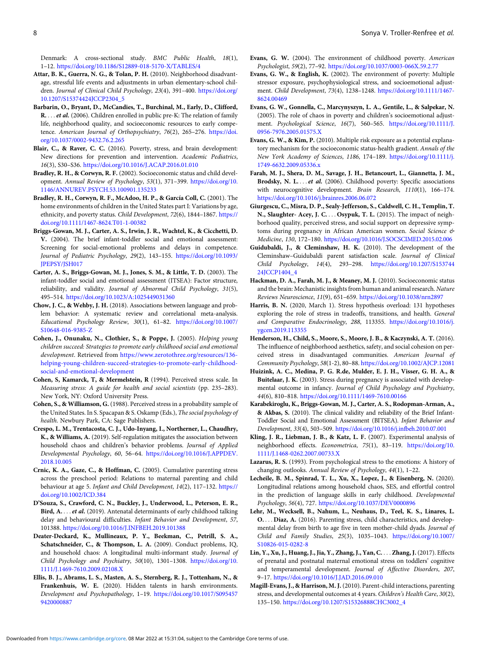Denmark: A cross-sectional study. BMC Public Health, 18(1), 1–12. https://doi.org/10.1186/S12889-018-5170-X/TABLES/4

- Attar, B. K., Guerra, N. G., & Tolan, P. H. (2010). Neighborhood disadvantage, stressful life events and adjustments in urban elementary-school children. Journal of Clinical Child Psychology, 23(4), 391-400. https://doi.org/ 10.1207/S15374424JCCP2304\_5
- Barbarin, O., Bryant, D., McCandies, T., Burchinal, M., Early, D., Clifford, R. ... et al. (2006). Children enrolled in public pre-K: The relation of family life, neighborhood quality, and socioeconomic resources to early competence. American Journal of Orthopsychiatry, 76(2), 265–276. https://doi. org/10.1037/0002-9432.76.2.265
- Blair, C., & Raver, C. C. (2016). Poverty, stress, and brain development: New directions for prevention and intervention. Academic Pediatrics, 16(3), S30–S36. https://doi.org/10.1016/J.ACAP.2016.01.010
- Bradley, R. H., & Corwyn, R. F. (2002). Socioeconomic status and child development. Annual Review of Psychology, 53(1), 371–399. https://doi.org/10. 1146/ANNUREV.PSYCH.53.100901.135233
- Bradley, R. H., Corwyn, R. F., McAdoo, H. P., & García Coll, C. (2001). The home environments of children in the United States part I: Variations by age, ethnicity, and poverty status. Child Development, 72(6), 1844–1867. https:// doi.org/10.1111/1467-8624.T01-1-00382
- Briggs-Gowan, M. J., Carter, A. S., Irwin, J. R., Wachtel, K., & Cicchetti, D. V. (2004). The brief infant-toddler social and emotional assessment: Screening for social-emotional problems and delays in competence. Journal of Pediatric Psychology, 29(2), 143–155. https://doi.org/10.1093/ JPEPSY/JSH017
- Carter, A. S., Briggs-Gowan, M. J., Jones, S. M., & Little, T. D. (2003). The infant-toddler social and emotional assessment (ITSEA): Factor structure, reliability, and validity. Journal of Abnormal Child Psychology, 31(5), 495–514. https://doi.org/10.1023/A:1025449031360
- Chow, J. C., & Wehby, J. H. (2018). Associations between language and problem behavior: A systematic review and correlational meta-analysis. Educational Psychology Review, 30(1), 61–82. https://doi.org/10.1007/ S10648-016-9385-Z
- Cohen, J., Onunaku, N., Clothier, S., & Poppe, J. (2005). Helping young children succeed: Strategies to promote early childhood social and emotional development. Retrieved from https://www.zerotothree.org/resources/136 helping-young-children-succeed-strategies-to-promote-early-childhoodsocial-and-emotional-development
- Cohen, S, Kamarck, T, & Mermelstein, R (1994). Perceived stress scale. In Measuring stress: A guide for health and social scientists (pp. 235–283). New York, NY: Oxford University Press.
- Cohen, S., & Williamson, G. (1988). Perceived stress in a probability sample of the United States. In S. Spacapan & S. Oskamp (Eds.), The social psychology of health. Newbury Park, CA: Sage Publishers.
- Crespo, L. M., Trentacosta, C. J., Udo-Inyang, I., Northerner, L., Chaudhry, K., & Williams, A. (2019). Self-regulation mitigates the association between household chaos and children's behavior problems. Journal of Applied Developmental Psychology, 60, 56–64. https://doi.org/10.1016/J.APPDEV. 2018.10.005
- Crnic, K. A., Gaze, C., & Hoffman, C. (2005). Cumulative parenting stress across the preschool period: Relations to maternal parenting and child behaviour at age 5. Infant and Child Development, 14(2), 117-132. https:// doi.org/10.1002/ICD.384
- D'Souza, S., Crawford, C. N., Buckley, J., Underwood, L., Peterson, E. R., Bird, A. .: . *et al.* (2019). Antenatal determinants of early childhood talking delay and behavioural difficulties. Infant Behavior and Development, 57, 101388. https://doi.org/10.1016/J.INFBEH.2019.101388
- Deater-Deckard, K., Mullineaux, P. Y., Beekman, C., Petrill, S. A., Schatschneider, C., & Thompson, L. A. (2009). Conduct problems, IQ, and household chaos: A longitudinal multi-informant study. Journal of Child Psychology and Psychiatry, 50(10), 1301–1308. https://doi.org/10. 1111/J.1469-7610.2009.02108.X
- Ellis, B. J., Abrams, L. S., Masten, A. S., Sternberg, R. J., Tottenham, N., & Frankenhuis, W. E. (2020). Hidden talents in harsh environments. Development and Psychopathology, 1–19. https://doi.org/10.1017/S095457 9420000887
- Evans, G. W. (2004). The environment of childhood poverty. American Psychologist, 59(2), 77–92. https://doi.org/10.1037/0003-066X.59.2.77
- Evans, G. W., & English, K. (2002). The environment of poverty: Multiple stressor exposure, psychophysiological stress, and socioemotional adjustment. Child Development, 73(4), 1238–1248. https://doi.org/10.1111/1467- 8624.00469
- Evans, G. W., Gonnella, C., Marcynyszyn, L. A., Gentile, L., & Salpekar, N. (2005). The role of chaos in poverty and children's socioemotional adjustment. Psychological Science, 16(7), 560–565. https://doi.org/10.1111/J. 0956-7976.2005.01575.X
- Evans, G. W., & Kim, P. (2010). Multiple risk exposure as a potential explanatory mechanism for the socioeconomic status-health gradient. Annals of the New York Academy of Sciences, 1186, 174–189. https://doi.org/10.1111/j. 1749-6632.2009.05336.x
- Farah, M. J., Shera, D. M., Savage, J. H., Betancourt, L., Giannetta, J. M., Brodsky, N. L.... et al. (2006). Childhood poverty: Specific associations with neurocognitive development. Brain Research, 1110(1), 166–174. https://doi.org/10.1016/j.brainres.2006.06.072
- Giurgescu, C., Misra, D. P., Sealy-Jefferson, S., Caldwell, C. H., Templin, T. N., Slaughter- Acey, J. C. .. . Osypuk, T. L. (2015). The impact of neighborhood quality, perceived stress, and social support on depressive symptoms during pregnancy in African American women. Social Science & Medicine, 130, 172–180. https://doi.org/10.1016/J.SOCSCIMED.2015.02.006
- Guidubaldi, J., & Cleminshaw, H. K. (2010). The development of the Cleminshaw–Guidubaldi parent satisfaction scale. Journal of Clinical Child Psychology, 14(4), 293–298. https://doi.org/10.1207/S153744 24JCCP1404\_4
- Hackman, D. A., Farah, M. J., & Meaney, M. J. (2010). Socioeconomic status and the brain: Mechanistic insights from human and animal research. Nature Reviews Neuroscience, 11(9), 651–659. https://doi.org/10.1038/nrn2897
- Harris, B. N. (2020, March 1). Stress hypothesis overload: 131 hypotheses exploring the role of stress in tradeoffs, transitions, and health. General and Comparative Endocrinology, 288, 113355. https://doi.org/10.1016/j. ygcen.2019.113355
- Henderson, H., Child, S., Moore, S., Moore, J. B., & Kaczynski, A. T. (2016). The influence of neighborhood aesthetics, safety, and social cohesion on perceived stress in disadvantaged communities. American Journal of Community Psychology, 58(1-2), 80–88. https://doi.org/10.1002/AJCP.12081
- Huizink, A. C., Medina, P. G. R.de, Mulder, E. J. H., Visser, G. H. A., & Buitelaar, J. K. (2003). Stress during pregnancy is associated with developmental outcome in infancy. Journal of Child Psychology and Psychiatry, 44(6), 810–818. https://doi.org/10.1111/1469-7610.00166
- Karabekiroglu, K., Briggs-Gowan, M. J., Carter, A. S., Rodopman-Arman, A., & Akbas, S. (2010). The clinical validity and reliability of the Brief Infant-Toddler Social and Emotional Assessment (BITSEA). Infant Behavior and Development, 33(4), 503–509. https://doi.org/10.1016/j.infbeh.2010.07.001
- Kling, J. R., Liebman, J. B., & Katz, L. F. (2007). Experimental analysis of neighborhood effects. Econometrica, 75(1), 83–119. https://doi.org/10. 1111/J.1468-0262.2007.00733.X
- Lazarus, R. S. (1993). From psychological stress to the emotions: A history of changing outlooks. Annual Review of Psychology, 44(1), 1–22.
- Lecheile, B. M., Spinrad, T. L., Xu, X., Lopez, J., & Eisenberg, N. (2020). Longitudinal relations among household chaos, SES, and effortful control in the prediction of language skills in early childhood. Developmental Psychology, 56(4), 727. https://doi.org/10.1037/DEV0000896
- Lehr, M., Wecksell, B., Nahum, L., Neuhaus, D., Teel, K. S., Linares, L. O.... Diaz, A. (2016). Parenting stress, child characteristics, and developmental delay from birth to age five in teen mother-child dyads. Journal of Child and Family Studies, 25(3), 1035–1043. https://doi.org/10.1007/ S10826-015-0282-8
- Lin, Y., Xu, J., Huang, J., Jia, Y., Zhang, J., Yan, C. ::: Zhang, J. (2017). Effects of prenatal and postnatal maternal emotional stress on toddlers' cognitive and temperamental development. Journal of Affective Disorders, 207, 9–17. https://doi.org/10.1016/J.JAD.2016.09.010
- Magill-Evans, J., & Harrison, M. J. (2010). Parent-child interactions, parenting stress, and developmental outcomes at 4 years. Children's Health Care, 30(2), 135–150. https://doi.org/10.1207/S15326888CHC3002\_4